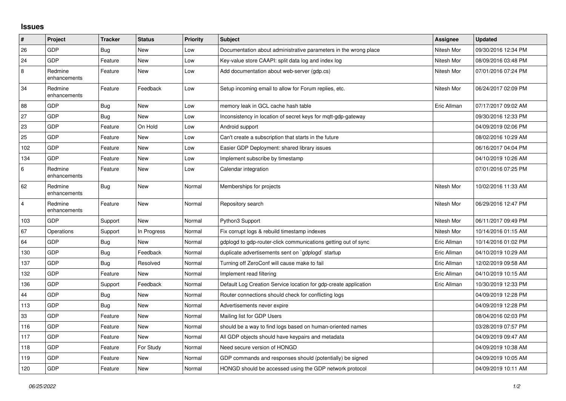## **Issues**

| #              | Project                 | <b>Tracker</b> | <b>Status</b> | <b>Priority</b> | <b>Subject</b>                                                   | Assignee    | <b>Updated</b>      |
|----------------|-------------------------|----------------|---------------|-----------------|------------------------------------------------------------------|-------------|---------------------|
| 26             | GDP                     | Bug            | New           | Low             | Documentation about administrative parameters in the wrong place | Nitesh Mor  | 09/30/2016 12:34 PM |
| 24             | GDP                     | Feature        | <b>New</b>    | Low             | Key-value store CAAPI: split data log and index log              | Nitesh Mor  | 08/09/2016 03:48 PM |
| 8              | Redmine<br>enhancements | Feature        | <b>New</b>    | Low             | Add documentation about web-server (gdp.cs)                      | Nitesh Mor  | 07/01/2016 07:24 PM |
| 34             | Redmine<br>enhancements | Feature        | Feedback      | Low             | Setup incoming email to allow for Forum replies, etc.            | Nitesh Mor  | 06/24/2017 02:09 PM |
| 88             | GDP                     | Bug            | <b>New</b>    | Low             | memory leak in GCL cache hash table                              | Eric Allman | 07/17/2017 09:02 AM |
| 27             | GDP                     | Bug            | <b>New</b>    | Low             | Inconsistency in location of secret keys for mgtt-gdp-gateway    |             | 09/30/2016 12:33 PM |
| 23             | GDP                     | Feature        | On Hold       | Low             | Android support                                                  |             | 04/09/2019 02:06 PM |
| 25             | GDP                     | Feature        | <b>New</b>    | Low             | Can't create a subscription that starts in the future            |             | 08/02/2016 10:29 AM |
| 102            | GDP                     | Feature        | New           | Low             | Easier GDP Deployment: shared library issues                     |             | 06/16/2017 04:04 PM |
| 134            | GDP                     | Feature        | New           | Low             | Implement subscribe by timestamp                                 |             | 04/10/2019 10:26 AM |
| 6              | Redmine<br>enhancements | Feature        | <b>New</b>    | Low             | Calendar integration                                             |             | 07/01/2016 07:25 PM |
| 62             | Redmine<br>enhancements | Bug            | New           | Normal          | Memberships for projects                                         | Nitesh Mor  | 10/02/2016 11:33 AM |
| $\overline{4}$ | Redmine<br>enhancements | Feature        | New           | Normal          | Repository search                                                | Nitesh Mor  | 06/29/2016 12:47 PM |
| 103            | GDP                     | Support        | <b>New</b>    | Normal          | Python3 Support                                                  | Nitesh Mor  | 06/11/2017 09:49 PM |
| 67             | Operations              | Support        | In Progress   | Normal          | Fix corrupt logs & rebuild timestamp indexes                     | Nitesh Mor  | 10/14/2016 01:15 AM |
| 64             | GDP                     | <b>Bug</b>     | <b>New</b>    | Normal          | gdplogd to gdp-router-click communications getting out of sync   | Eric Allman | 10/14/2016 01:02 PM |
| 130            | GDP                     | <b>Bug</b>     | Feedback      | Normal          | duplicate advertisements sent on `gdplogd` startup               | Eric Allman | 04/10/2019 10:29 AM |
| 137            | GDP                     | Bug            | Resolved      | Normal          | Turning off ZeroConf will cause make to fail                     | Eric Allman | 12/02/2019 09:58 AM |
| 132            | GDP                     | Feature        | <b>New</b>    | Normal          | Implement read filtering                                         | Eric Allman | 04/10/2019 10:15 AM |
| 136            | GDP                     | Support        | Feedback      | Normal          | Default Log Creation Service location for gdp-create application | Eric Allman | 10/30/2019 12:33 PM |
| 44             | GDP                     | Bug            | <b>New</b>    | Normal          | Router connections should check for conflicting logs             |             | 04/09/2019 12:28 PM |
| 113            | GDP                     | Bug            | <b>New</b>    | Normal          | Advertisements never expire                                      |             | 04/09/2019 12:28 PM |
| 33             | GDP                     | Feature        | New           | Normal          | Mailing list for GDP Users                                       |             | 08/04/2016 02:03 PM |
| 116            | GDP                     | Feature        | <b>New</b>    | Normal          | should be a way to find logs based on human-oriented names       |             | 03/28/2019 07:57 PM |
| 117            | GDP                     | Feature        | <b>New</b>    | Normal          | All GDP objects should have keypairs and metadata                |             | 04/09/2019 09:47 AM |
| 118            | GDP                     | Feature        | For Study     | Normal          | Need secure version of HONGD                                     |             | 04/09/2019 10:38 AM |
| 119            | GDP                     | Feature        | <b>New</b>    | Normal          | GDP commands and responses should (potentially) be signed        |             | 04/09/2019 10:05 AM |
| 120            | GDP                     | Feature        | <b>New</b>    | Normal          | HONGD should be accessed using the GDP network protocol          |             | 04/09/2019 10:11 AM |